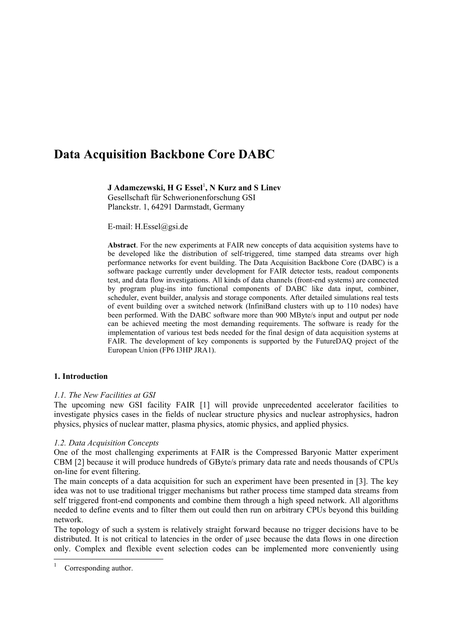# **Data Acquisition Backbone Core DABC**

**J Adamczewski, H G Essel<sup>1</sup>, N Kurz and S Linev** Gesellschaft für Schwerionenforschung GSI Planckstr. 1, 64291 Darmstadt, Germany

E-mail: H.Essel@gsi.de

**Abstract**. For the new experiments at FAIR new concepts of data acquisition systems have to be developed like the distribution of self-triggered, time stamped data streams over high performance networks for event building. The Data Acquisition Backbone Core (DABC) is a software package currently under development for FAIR detector tests, readout components test, and data flow investigations. All kinds of data channels (front-end systems) are connected by program plug-ins into functional components of DABC like data input, combiner, scheduler, event builder, analysis and storage components. After detailed simulations real tests of event building over a switched network (InfiniBand clusters with up to 110 nodes) have been performed. With the DABC software more than 900 MByte/s input and output per node can be achieved meeting the most demanding requirements. The software is ready for the implementation of various test beds needed for the final design of data acquisition systems at FAIR. The development of key components is supported by the FutureDAQ project of the European Union (FP6 I3HP JRA1).

# **1. Introduction**

# *1.1. The New Facilities at GSI*

The upcoming new GSI facility FAIR [1] will provide unprecedented accelerator facilities to investigate physics cases in the fields of nuclear structure physics and nuclear astrophysics, hadron physics, physics of nuclear matter, plasma physics, atomic physics, and applied physics.

# *1.2. Data Acquisition Concepts*

One of the most challenging experiments at FAIR is the Compressed Baryonic Matter experiment CBM [2] because it will produce hundreds of GByte/s primary data rate and needs thousands of CPUs on-line for event filtering.

The main concepts of a data acquisition for such an experiment have been presented in [3]. The key idea was not to use traditional trigger mechanisms but rather process time stamped data streams from self triggered front-end components and combine them through a high speed network. All algorithms needed to define events and to filter them out could then run on arbitrary CPUs beyond this building network.

The topology of such a system is relatively straight forward because no trigger decisions have to be distributed. It is not critical to latencies in the order of µsec because the data flows in one direction only. Complex and flexible event selection codes can be implemented more conveniently using

l

<sup>1</sup> Corresponding author.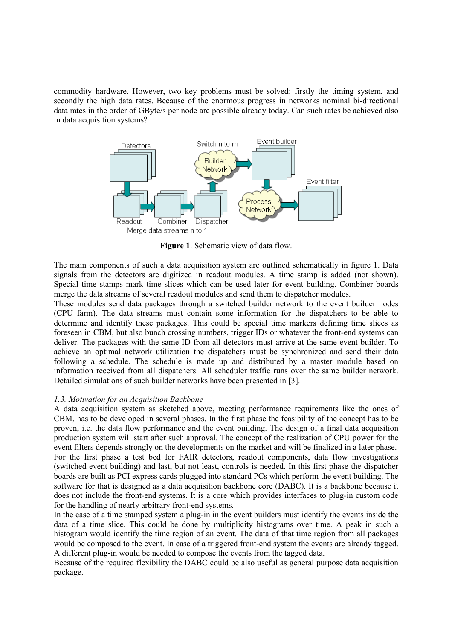commodity hardware. However, two key problems must be solved: firstly the timing system, and secondly the high data rates. Because of the enormous progress in networks nominal bi-directional data rates in the order of GByte/s per node are possible already today. Can such rates be achieved also in data acquisition systems?



**Figure 1**. Schematic view of data flow.

The main components of such a data acquisition system are outlined schematically in figure 1. Data signals from the detectors are digitized in readout modules. A time stamp is added (not shown). Special time stamps mark time slices which can be used later for event building. Combiner boards merge the data streams of several readout modules and send them to dispatcher modules.

These modules send data packages through a switched builder network to the event builder nodes (CPU farm). The data streams must contain some information for the dispatchers to be able to determine and identify these packages. This could be special time markers defining time slices as foreseen in CBM, but also bunch crossing numbers, trigger IDs or whatever the front-end systems can deliver. The packages with the same ID from all detectors must arrive at the same event builder. To achieve an optimal network utilization the dispatchers must be synchronized and send their data following a schedule. The schedule is made up and distributed by a master module based on information received from all dispatchers. All scheduler traffic runs over the same builder network. Detailed simulations of such builder networks have been presented in [3].

# *1.3. Motivation for an Acquisition Backbone*

A data acquisition system as sketched above, meeting performance requirements like the ones of CBM, has to be developed in several phases. In the first phase the feasibility of the concept has to be proven, i.e. the data flow performance and the event building. The design of a final data acquisition production system will start after such approval. The concept of the realization of CPU power for the event filters depends strongly on the developments on the market and will be finalized in a later phase. For the first phase a test bed for FAIR detectors, readout components, data flow investigations (switched event building) and last, but not least, controls is needed. In this first phase the dispatcher boards are built as PCI express cards plugged into standard PCs which perform the event building. The software for that is designed as a data acquisition backbone core (DABC). It is a backbone because it does not include the front-end systems. It is a core which provides interfaces to plug-in custom code for the handling of nearly arbitrary front-end systems.

In the case of a time stamped system a plug-in in the event builders must identify the events inside the data of a time slice. This could be done by multiplicity histograms over time. A peak in such a histogram would identify the time region of an event. The data of that time region from all packages would be composed to the event. In case of a triggered front-end system the events are already tagged. A different plug-in would be needed to compose the events from the tagged data.

Because of the required flexibility the DABC could be also useful as general purpose data acquisition package.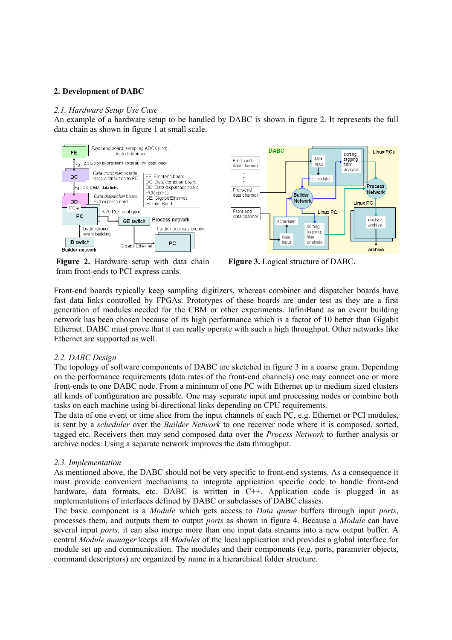# **2. Development of DABC**

### *2.1. Hardware Setup Use Case*

An example of a hardware setup to be handled by DABC is shown in figure 2. It represents the full data chain as shown in figure 1 at small scale.





Figure 2. Hardware setup with data chain from front-ends to PCI express cards.

**Figure 3.** Logical structure of DABC.

Front-end boards typically keep sampling digitizers, whereas combiner and dispatcher boards have fast data links controlled by FPGAs. Prototypes of these boards are under test as they are a first generation of modules needed for the CBM or other experiments. InfiniBand as an event building network has been chosen because of its high performance which is a factor of 10 better than Gigabit Ethernet. DABC must prove that it can really operate with such a high throughput. Other networks like Ethernet are supported as well.

### *2.2. DABC Design*

The topology of software components of DABC are sketched in figure 3 in a coarse grain. Depending on the performance requirements (data rates of the front-end channels) one may connect one or more front-ends to one DABC node. From a minimum of one PC with Ethernet up to medium sized clusters all kinds of configuration are possible. One may separate input and processing nodes or combine both tasks on each machine using bi-directional links depending on CPU requirements.

The data of one event or time slice from the input channels of each PC, e.g. Ethernet or PCI modules, is sent by a *scheduler* over the *Builder Network* to one receiver node where it is composed, sorted, tagged etc. Receivers then may send composed data over the *Process Network* to further analysis or archive nodes. Using a separate network improves the data throughput.

### *2.3. Implementation*

As mentioned above, the DABC should not be very specific to front-end systems. As a consequence it must provide convenient mechanisms to integrate application specific code to handle front-end hardware, data formats, etc. DABC is written in C++. Application code is plugged in as implementations of interfaces defined by DABC or subclasses of DABC classes.

The basic component is a *Module* which gets access to *Data queue* buffers through input *ports*, processes them, and outputs them to output *ports* as shown in figure 4. Because a *Module* can have several input *ports,* it can also merge more than one input data streams into a new output buffer. A central *Module manager* keeps all *Modules* of the local application and provides a global interface for module set up and communication. The modules and their components (e.g. ports, parameter objects, command descriptors) are organized by name in a hierarchical folder structure.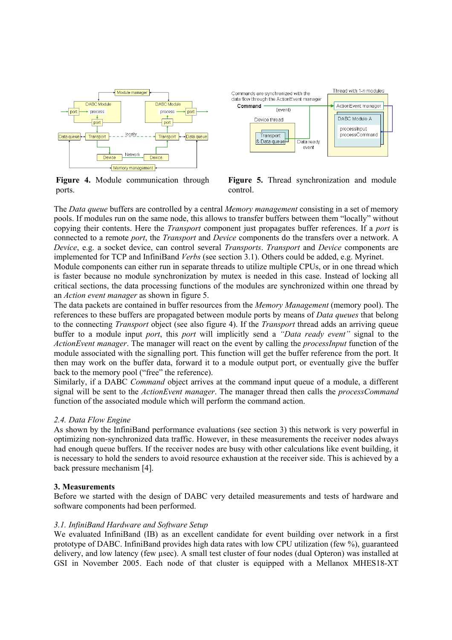

**Figure 4.** Module communication through ports.



**Figure 5.** Thread synchronization and module control.

The *Data queue* buffers are controlled by a central *Memory management* consisting in a set of memory pools. If modules run on the same node, this allows to transfer buffers between them "locally" without copying their contents. Here the *Transport* component just propagates buffer references. If a *port* is connected to a remote *port*, the *Transport* and *Device* components do the transfers over a network. A *Device*, e.g. a socket device, can control several *Transports*. *Transport* and *Device* components are implemented for TCP and InfiniBand *Verbs* (see section 3.1). Others could be added, e.g. Myrinet.

Module components can either run in separate threads to utilize multiple CPUs, or in one thread which is faster because no module synchronization by mutex is needed in this case. Instead of locking all critical sections, the data processing functions of the modules are synchronized within one thread by an *Action event manager* as shown in figure 5.

The data packets are contained in buffer resources from the *Memory Management* (memory pool). The references to these buffers are propagated between module ports by means of *Data queues* that belong to the connecting *Transport* object (see also figure 4). If the *Transport* thread adds an arriving queue buffer to a module input *port*, this *port* will implicitly send a *"Data ready event"* signal to the *ActionEvent manager*. The manager will react on the event by calling the *processInput* function of the module associated with the signalling port. This function will get the buffer reference from the port. It then may work on the buffer data, forward it to a module output port, or eventually give the buffer back to the memory pool ("free" the reference).

Similarly, if a DABC *Command* object arrives at the command input queue of a module, a different signal will be sent to the *ActionEvent manager*. The manager thread then calls the *processCommand* function of the associated module which will perform the command action.

# *2.4. Data Flow Engine*

As shown by the InfiniBand performance evaluations (see section 3) this network is very powerful in optimizing non-synchronized data traffic. However, in these measurements the receiver nodes always had enough queue buffers. If the receiver nodes are busy with other calculations like event building, it is necessary to hold the senders to avoid resource exhaustion at the receiver side. This is achieved by a back pressure mechanism [4].

# **3. Measurements**

Before we started with the design of DABC very detailed measurements and tests of hardware and software components had been performed.

# *3.1. InfiniBand Hardware and Software Setup*

We evaluated InfiniBand (IB) as an excellent candidate for event building over network in a first prototype of DABC. InfiniBand provides high data rates with low CPU utilization (few %), guaranteed delivery, and low latency (few µsec). A small test cluster of four nodes (dual Opteron) was installed at GSI in November 2005. Each node of that cluster is equipped with a Mellanox MHES18-XT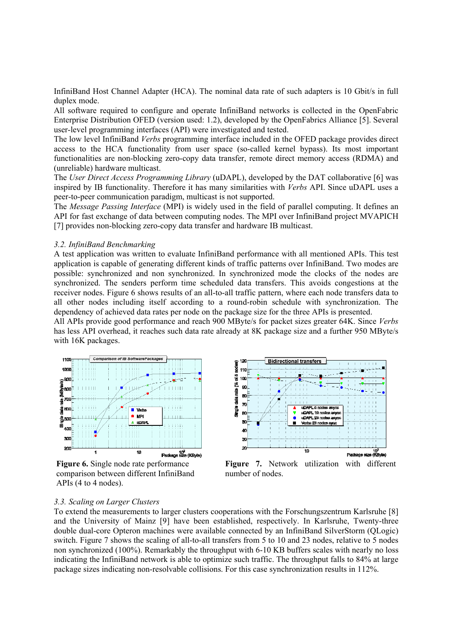InfiniBand Host Channel Adapter (HCA). The nominal data rate of such adapters is 10 Gbit/s in full duplex mode.

All software required to configure and operate InfiniBand networks is collected in the OpenFabric Enterprise Distribution OFED (version used: 1.2), developed by the OpenFabrics Alliance [5]. Several user-level programming interfaces (API) were investigated and tested.

The low level InfiniBand *Verbs* programming interface included in the OFED package provides direct access to the HCA functionality from user space (so-called kernel bypass). Its most important functionalities are non-blocking zero-copy data transfer, remote direct memory access (RDMA) and (unreliable) hardware multicast.

The *User Direct Access Programming Library* (uDAPL), developed by the DAT collaborative [6] was inspired by IB functionality. Therefore it has many similarities with *Verbs* API. Since uDAPL uses a peer-to-peer communication paradigm, multicast is not supported.

The *Message Passing Interface* (MPI) is widely used in the field of parallel computing. It defines an API for fast exchange of data between computing nodes. The MPI over InfiniBand project MVAPICH [7] provides non-blocking zero-copy data transfer and hardware IB multicast.

# *3.2. InfiniBand Benchmarking*

A test application was written to evaluate InfiniBand performance with all mentioned APIs. This test application is capable of generating different kinds of traffic patterns over InfiniBand. Two modes are possible: synchronized and non synchronized. In synchronized mode the clocks of the nodes are synchronized. The senders perform time scheduled data transfers. This avoids congestions at the receiver nodes. Figure 6 shows results of an all-to-all traffic pattern, where each node transfers data to all other nodes including itself according to a round-robin schedule with synchronization. The dependency of achieved data rates per node on the package size for the three APIs is presented.

All APIs provide good performance and reach 900 MByte/s for packet sizes greater 64K. Since *Verbs* has less API overhead, it reaches such data rate already at 8K package size and a further 950 MByte/s with 16K packages.



**Figure 6.** Single node rate performance comparison between different InfiniBand APIs (4 to 4 nodes).



**Figure 7.** Network utilization with different number of nodes.

#### *3.3. Scaling on Larger Clusters*

To extend the measurements to larger clusters cooperations with the Forschungszentrum Karlsruhe [8] and the University of Mainz [9] have been established, respectively. In Karlsruhe, Twenty-three double dual-core Opteron machines were available connected by an InfiniBand SilverStorm (QLogic) switch. Figure 7 shows the scaling of all-to-all transfers from 5 to 10 and 23 nodes, relative to 5 nodes non synchronized (100%). Remarkably the throughput with 6-10 KB buffers scales with nearly no loss indicating the InfiniBand network is able to optimize such traffic. The throughput falls to 84% at large package sizes indicating non-resolvable collisions. For this case synchronization results in 112%.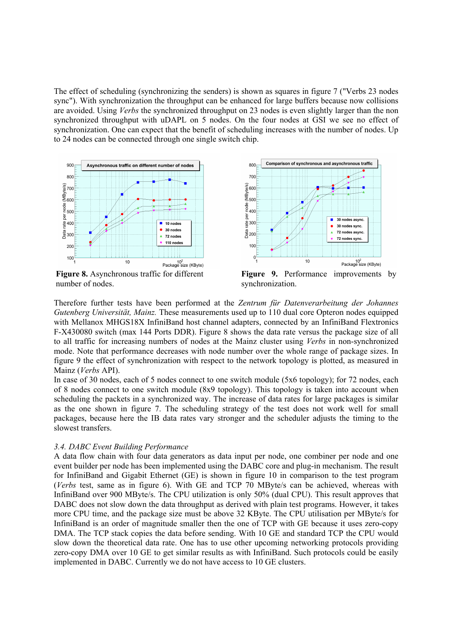The effect of scheduling (synchronizing the senders) is shown as squares in figure 7 ("Verbs 23 nodes sync"). With synchronization the throughput can be enhanced for large buffers because now collisions are avoided. Using *Verbs* the synchronized throughput on 23 nodes is even slightly larger than the non synchronized throughput with uDAPL on 5 nodes. On the four nodes at GSI we see no effect of synchronization. One can expect that the benefit of scheduling increases with the number of nodes. Up to 24 nodes can be connected through one single switch chip.



**Figure 8.** Asynchronous traffic for different number of nodes.



**Figure 9.** Performance improvements by synchronization.

Therefore further tests have been performed at the *Zentrum für Datenverarbeitung der Johannes Gutenberg Universität, Mainz.* These measurements used up to 110 dual core Opteron nodes equipped with Mellanox MHGS18X InfiniBand host channel adapters, connected by an InfiniBand Flextronics F-X430080 switch (max 144 Ports DDR). Figure 8 shows the data rate versus the package size of all to all traffic for increasing numbers of nodes at the Mainz cluster using *Verbs* in non-synchronized mode. Note that performance decreases with node number over the whole range of package sizes. In figure 9 the effect of synchronization with respect to the network topology is plotted, as measured in Mainz (*Verbs* API).

In case of 30 nodes, each of 5 nodes connect to one switch module (5x6 topology); for 72 nodes, each of 8 nodes connect to one switch module (8x9 topology). This topology is taken into account when scheduling the packets in a synchronized way. The increase of data rates for large packages is similar as the one shown in figure 7. The scheduling strategy of the test does not work well for small packages, because here the IB data rates vary stronger and the scheduler adjusts the timing to the slowest transfers.

## *3.4. DABC Event Building Performance*

A data flow chain with four data generators as data input per node, one combiner per node and one event builder per node has been implemented using the DABC core and plug-in mechanism. The result for InfiniBand and Gigabit Ethernet (GE) is shown in figure 10 in comparison to the test program (*Verbs* test, same as in figure 6). With GE and TCP 70 MByte/s can be achieved, whereas with InfiniBand over 900 MByte/s. The CPU utilization is only 50% (dual CPU). This result approves that DABC does not slow down the data throughput as derived with plain test programs. However, it takes more CPU time, and the package size must be above 32 KByte. The CPU utilisation per MByte/s for InfiniBand is an order of magnitude smaller then the one of TCP with GE because it uses zero-copy DMA. The TCP stack copies the data before sending. With 10 GE and standard TCP the CPU would slow down the theoretical data rate. One has to use other upcoming networking protocols providing zero-copy DMA over 10 GE to get similar results as with InfiniBand. Such protocols could be easily implemented in DABC. Currently we do not have access to 10 GE clusters.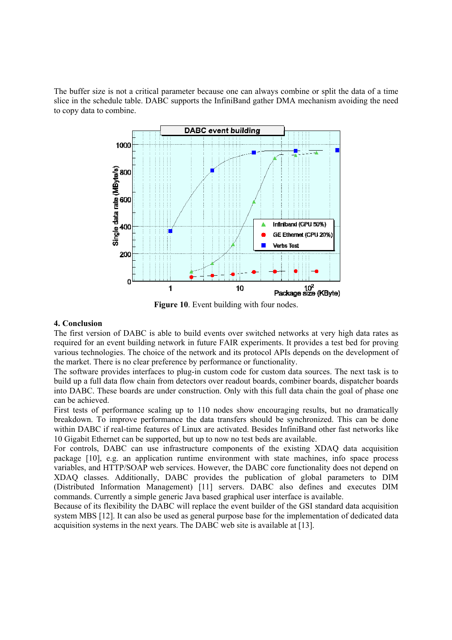The buffer size is not a critical parameter because one can always combine or split the data of a time slice in the schedule table. DABC supports the InfiniBand gather DMA mechanism avoiding the need to copy data to combine.



**Figure 10**. Event building with four nodes.

# **4. Conclusion**

The first version of DABC is able to build events over switched networks at very high data rates as required for an event building network in future FAIR experiments. It provides a test bed for proving various technologies. The choice of the network and its protocol APIs depends on the development of the market. There is no clear preference by performance or functionality.

The software provides interfaces to plug-in custom code for custom data sources. The next task is to build up a full data flow chain from detectors over readout boards, combiner boards, dispatcher boards into DABC. These boards are under construction. Only with this full data chain the goal of phase one can be achieved.

First tests of performance scaling up to 110 nodes show encouraging results, but no dramatically breakdown. To improve performance the data transfers should be synchronized. This can be done within DABC if real-time features of Linux are activated. Besides InfiniBand other fast networks like 10 Gigabit Ethernet can be supported, but up to now no test beds are available.

For controls, DABC can use infrastructure components of the existing XDAQ data acquisition package [10], e.g. an application runtime environment with state machines, info space process variables, and HTTP/SOAP web services. However, the DABC core functionality does not depend on XDAQ classes. Additionally, DABC provides the publication of global parameters to DIM (Distributed Information Management) [11] servers. DABC also defines and executes DIM commands. Currently a simple generic Java based graphical user interface is available.

Because of its flexibility the DABC will replace the event builder of the GSI standard data acquisition system MBS [12]. It can also be used as general purpose base for the implementation of dedicated data acquisition systems in the next years. The DABC web site is available at [13].